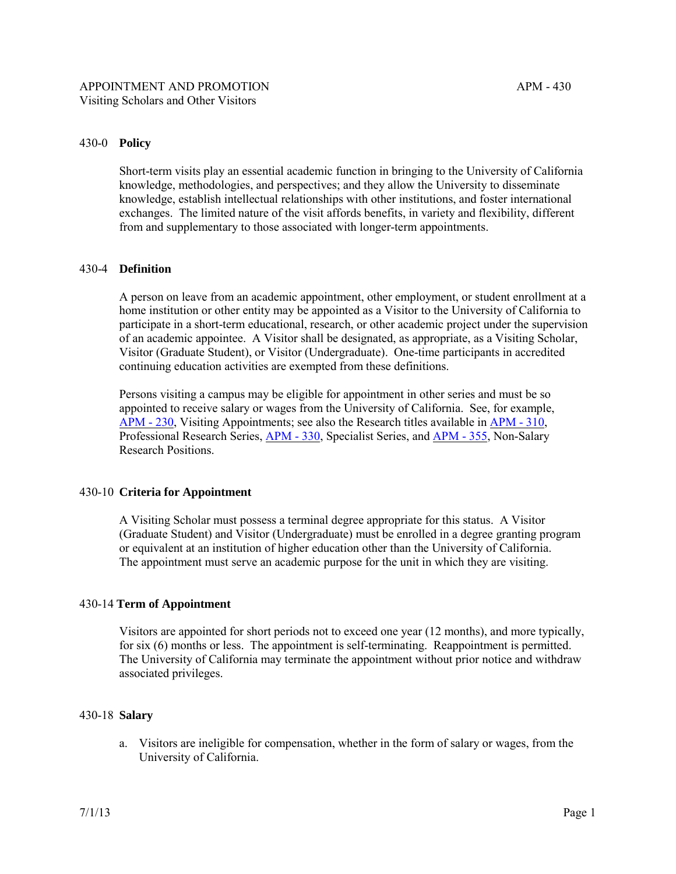## 430-0 **Policy**

Short-term visits play an essential academic function in bringing to the University of California knowledge, methodologies, and perspectives; and they allow the University to disseminate knowledge, establish intellectual relationships with other institutions, and foster international exchanges. The limited nature of the visit affords benefits, in variety and flexibility, different from and supplementary to those associated with longer-term appointments.

#### 430-4 **Definition**

A person on leave from an academic appointment, other employment, or student enrollment at a home institution or other entity may be appointed as a Visitor to the University of California to participate in a short-term educational, research, or other academic project under the supervision of an academic appointee. A Visitor shall be designated, as appropriate, as a Visiting Scholar, Visitor (Graduate Student), or Visitor (Undergraduate). One-time participants in accredited continuing education activities are exempted from these definitions.

Persons visiting a campus may be eligible for appointment in other series and must be so appointed to receive salary or wages from the University of California. See, for example, [APM - 230,](http://ucop.edu/academic-personnel-programs/_files/apm/apm-230.pdf) Visiting Appointments; see also the Research titles available i[n APM - 310,](http://ucop.edu/academic-personnel-programs/_files/apm/apm-310.pdf)  Professional Research Series, [APM - 330,](http://ucop.edu/academic-personnel-programs/_files/apm/apm-330.pdf) Specialist Series, and [APM - 355,](http://ucop.edu/academic-personnel-programs/_files/apm/apm-355.pdf) Non-Salary Research Positions.

#### 430-10 **Criteria for Appointment**

A Visiting Scholar must possess a terminal degree appropriate for this status. A Visitor (Graduate Student) and Visitor (Undergraduate) must be enrolled in a degree granting program or equivalent at an institution of higher education other than the University of California. The appointment must serve an academic purpose for the unit in which they are visiting.

#### 430-14 **Term of Appointment**

Visitors are appointed for short periods not to exceed one year (12 months), and more typically, for six (6) months or less. The appointment is self-terminating. Reappointment is permitted. The University of California may terminate the appointment without prior notice and withdraw associated privileges.

### 430-18 **Salary**

a. Visitors are ineligible for compensation, whether in the form of salary or wages, from the University of California.